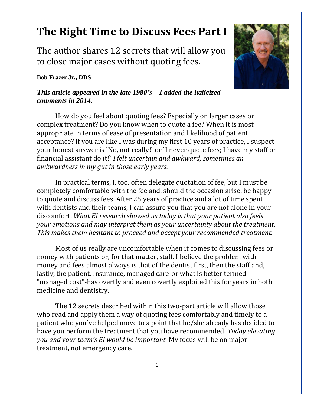## **The Right Time to Discuss Fees Part I**

The author shares 12 secrets that will allow you to close major cases without quoting fees.

## **Bob Frazer Jr., DDS**

## *This article appeared in the late 1980's – I added the italicized comments in 2014.*

How do you feel about quoting fees? Especially on larger cases or complex treatment? Do you know when to quote a fee? When it is most appropriate in terms of ease of presentation and likelihood of patient acceptance? If you are like I was during my first 10 years of practice, I suspect your honest answer is `No, not really!` or `I never quote fees; I have my staff or financial assistant do it!` *I felt uncertain and awkward, sometimes an awkwardness in my gut in those early years.*

In practical terms, I, too, often delegate quotation of fee, but I must be completely comfortable with the fee and, should the occasion arise, be happy to quote and discuss fees. After 25 years of practice and a lot of time spent with dentists and their teams, I can assure you that you are not alone in your discomfort. *What EI research showed us today is that your patient also feels your emotions and may interpret them as your uncertainty about the treatment. This makes them hesitant to proceed and accept your recommended treatment.*

Most of us really are uncomfortable when it comes to discussing fees or money with patients or, for that matter, staff. I believe the problem with money and fees almost always is that of the dentist first, then the staff and, lastly, the patient. Insurance, managed care-or what is better termed "managed cost"-has overtly and even covertly exploited this for years in both medicine and dentistry.

The 12 secrets described within this two-part article will allow those who read and apply them a way of quoting fees comfortably and timely to a patient who you`ve helped move to a point that he/she already has decided to have you perform the treatment that you have recommended. *Today elevating you and your team's EI would be important.* My focus will be on major treatment, not emergency care.

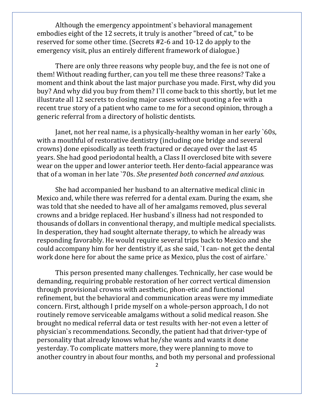Although the emergency appointment`s behavioral management embodies eight of the 12 secrets, it truly is another "breed of cat," to be reserved for some other time. (Secrets #2-6 and 10-12 do apply to the emergency visit, plus an entirely different framework of dialogue.)

There are only three reasons why people buy, and the fee is not one of them! Without reading further, can you tell me these three reasons? Take a moment and think about the last major purchase you made. First, why did you buy? And why did you buy from them? I`ll come back to this shortly, but let me illustrate all 12 secrets to closing major cases without quoting a fee with a recent true story of a patient who came to me for a second opinion, through a generic referral from a directory of holistic dentists.

Janet, not her real name, is a physically-healthy woman in her early `60s, with a mouthful of restorative dentistry (including one bridge and several crowns) done episodically as teeth fractured or decayed over the last 45 years. She had good periodontal health, a Class II overclosed bite with severe wear on the upper and lower anterior teeth. Her dento-facial appearance was that of a woman in her late `70s. *She presented both concerned and anxious.*

She had accompanied her husband to an alternative medical clinic in Mexico and, while there was referred for a dental exam. During the exam, she was told that she needed to have all of her amalgams removed, plus several crowns and a bridge replaced. Her husband`s illness had not responded to thousands of dollars in conventional therapy, and multiple medical specialists. In desperation, they had sought alternate therapy, to which he already was responding favorably. He would require several trips back to Mexico and she could accompany him for her dentistry if, as she said, `I can- not get the dental work done here for about the same price as Mexico, plus the cost of airfare.`

This person presented many challenges. Technically, her case would be demanding, requiring probable restoration of her correct vertical dimension through provisional crowns with aesthetic, phon-etic and functional refinement, but the behavioral and communication areas were my immediate concern. First, although I pride myself on a whole-person approach, I do not routinely remove serviceable amalgams without a solid medical reason. She brought no medical referral data or test results with her-not even a letter of physician`s recommendations. Secondly, the patient had that driver-type of personality that already knows what he/she wants and wants it done yesterday. To complicate matters more, they were planning to move to another country in about four months, and both my personal and professional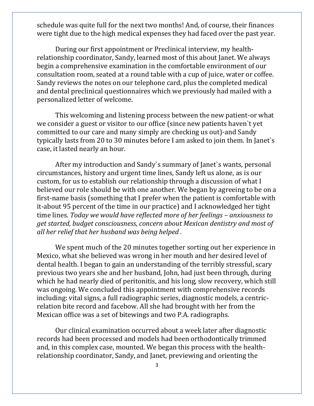schedule was quite full for the next two months! And, of course, their finances were tight due to the high medical expenses they had faced over the past year.

During our first appointment or Preclinical interview, my healthrelationship coordinator, Sandy, learned most of this about Janet. We always begin a comprehensive examination in the comfortable environment of our consultation room, seated at a round table with a cup of juice, water or coffee. Sandy reviews the notes on our telephone card, plus the completed medical and dental preclinical questionnaires which we previously had mailed with a personalized letter of welcome.

This welcoming and listening process between the new patient-or what we consider a guest or visitor to our office (since new patients haven`t yet committed to our care and many simply are checking us out)-and Sandy typically lasts from 20 to 30 minutes before I am asked to join them. In Janet`s case, it lasted nearly an hour.

After my introduction and Sandy`s summary of Janet`s wants, personal circumstances, history and urgent time lines, Sandy left us alone, as is our custom, for us to establish our relationship through a discussion of what I believed our role should be with one another. We began by agreeing to be on a first-name basis (something that I prefer when the patient is comfortable with it-about 95 percent of the time in our practice) and I acknowledged her tight time lines. *Today we would have reflected more of her feelings – anxiousness to get started, budget consciousness, concern about Mexican dentistry and most of all her relief that her husband was being helped .*

We spent much of the 20 minutes together sorting out her experience in Mexico, what she believed was wrong in her mouth and her desired level of dental health. I began to gain an understanding of the terribly stressful, scary previous two years she and her husband, John, had just been through, during which he had nearly died of peritonitis, and his long, slow recovery, which still was ongoing. We concluded this appointment with comprehensive records including: vital signs, a full radiographic series, diagnostic models, a centricrelation bite record and facebow. All she had brought with her from the Mexican office was a set of bitewings and two P.A. radiographs.

Our clinical examination occurred about a week later after diagnostic records had been processed and models had been orthodontically trimmed and, in this complex case, mounted. We began this process with the healthrelationship coordinator, Sandy, and Janet, previewing and orienting the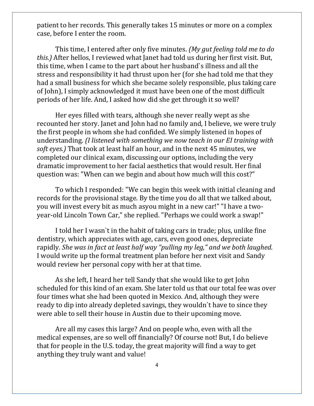patient to her records. This generally takes 15 minutes or more on a complex case, before I enter the room.

This time, I entered after only five minutes. *(My gut feeling told me to do this.)* After hellos, I reviewed what Janet had told us during her first visit. But, this time, when I came to the part about her husband`s illness and all the stress and responsibility it had thrust upon her (for she had told me that they had a small business for which she became solely responsible, plus taking care of John), I simply acknowledged it must have been one of the most difficult periods of her life. And, I asked how did she get through it so well?

Her eyes filled with tears, although she never really wept as she recounted her story. Janet and John had no family and, I believe, we were truly the first people in whom she had confided. We simply listened in hopes of understanding. *(I listened with something we now teach in our EI training with soft eyes.)* That took at least half an hour, and in the next 45 minutes, we completed our clinical exam, discussing our options, including the very dramatic improvement to her facial aesthetics that would result. Her final question was: "When can we begin and about how much will this cost?"

To which I responded: "We can begin this week with initial cleaning and records for the provisional stage. By the time you do all that we talked about, you will invest every bit as much asyou might in a new car!" "I have a twoyear-old Lincoln Town Car," she replied. "Perhaps we could work a swap!"

I told her I wasn`t in the habit of taking cars in trade; plus, unlike fine dentistry, which appreciates with age, cars, even good ones, depreciate rapidly. *She was in fact at least half way "pulling my leg," and we both laughed.* I would write up the formal treatment plan before her next visit and Sandy would review her personal copy with her at that time.

As she left, I heard her tell Sandy that she would like to get John scheduled for this kind of an exam. She later told us that our total fee was over four times what she had been quoted in Mexico. And, although they were ready to dip into already depleted savings, they wouldn`t have to since they were able to sell their house in Austin due to their upcoming move.

Are all my cases this large? And on people who, even with all the medical expenses, are so well off financially? Of course not! But, I do believe that for people in the U.S. today, the great majority will find a way to get anything they truly want and value!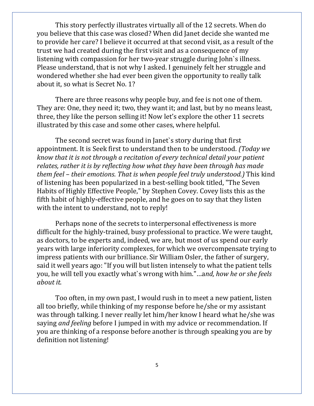This story perfectly illustrates virtually all of the 12 secrets. When do you believe that this case was closed? When did Janet decide she wanted me to provide her care? I believe it occurred at that second visit, as a result of the trust we had created during the first visit and as a consequence of my listening with compassion for her two-year struggle during John`s illness. Please understand, that is not why I asked. I genuinely felt her struggle and wondered whether she had ever been given the opportunity to really talk about it, so what is Secret No. 1?

There are three reasons why people buy, and fee is not one of them. They are: One, they need it; two, they want it; and last, but by no means least, three, they like the person selling it! Now let's explore the other 11 secrets illustrated by this case and some other cases, where helpful.

The second secret was found in Janet`s story during that first appointment. It is Seek first to understand then to be understood. *(Today we know that it is not through a recitation of every technical detail your patient relates, rather it is by reflecting how what they have been through has made them feel – their emotions. That is when people feel truly understood.)* This kind of listening has been popularized in a best-selling book titled, "The Seven Habits of Highly Effective People," by Stephen Covey. Covey lists this as the fifth habit of highly-effective people, and he goes on to say that they listen with the intent to understand, not to reply!

Perhaps none of the secrets to interpersonal effectiveness is more difficult for the highly-trained, busy professional to practice. We were taught, as doctors, to be experts and, indeed, we are, but most of us spend our early years with large inferiority complexes, for which we overcompensate trying to impress patients with our brilliance. Sir William Osler, the father of surgery, said it well years ago: "If you will but listen intensely to what the patient tells you, he will tell you exactly what`s wrong with him."…a*nd, how he or she feels about it.*

Too often, in my own past, I would rush in to meet a new patient, listen all too briefly, while thinking of my response before he/she or my assistant was through talking. I never really let him/her know I heard what he/she was saying *and feeling* before I jumped in with my advice or recommendation. If you are thinking of a response before another is through speaking you are by definition not listening!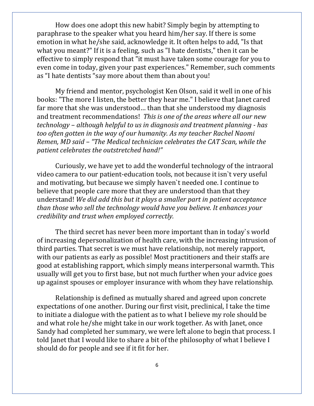How does one adopt this new habit? Simply begin by attempting to paraphrase to the speaker what you heard him/her say. If there is some emotion in what he/she said, acknowledge it. It often helps to add, "Is that what you meant?" If it is a feeling, such as "I hate dentists," then it can be effective to simply respond that "it must have taken some courage for you to even come in today, given your past experiences." Remember, such comments as "I hate dentists "say more about them than about you!

My friend and mentor, psychologist Ken Olson, said it well in one of his books: "The more I listen, the better they hear me." I believe that Janet cared far more that she was understood… than that she understood my diagnosis and treatment recommendations! *This is one of the areas where all our new technology – although helpful to us in diagnosis and treatment planning - has too often gotten in the way of our humanity. As my teacher Rachel Naomi Remen, MD said – "The Medical technician celebrates the CAT Scan, while the patient celebrates the outstretched hand!"*

Curiously, we have yet to add the wonderful technology of the intraoral video camera to our patient-education tools, not because it isn`t very useful and motivating, but because we simply haven`t needed one. I continue to believe that people care more that they are understood than that they understand! *We did add this but it plays a smaller part in patient acceptance than those who sell the technology would have you believe. It enhances your credibility and trust when employed correctly.* 

The third secret has never been more important than in today`s world of increasing depersonalization of health care, with the increasing intrusion of third parties. That secret is we must have relationship, not merely rapport, with our patients as early as possible! Most practitioners and their staffs are good at establishing rapport, which simply means interpersonal warmth. This usually will get you to first base, but not much further when your advice goes up against spouses or employer insurance with whom they have relationship.

Relationship is defined as mutually shared and agreed upon concrete expectations of one another. During our first visit, preclinical, I take the time to initiate a dialogue with the patient as to what I believe my role should be and what role he/she might take in our work together. As with Janet, once Sandy had completed her summary, we were left alone to begin that process. I told Janet that I would like to share a bit of the philosophy of what I believe I should do for people and see if it fit for her.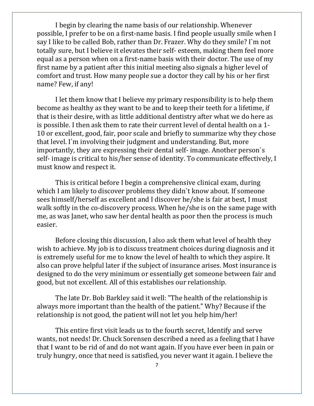I begin by clearing the name basis of our relationship. Whenever possible, I prefer to be on a first-name basis. I find people usually smile when I say I like to be called Bob, rather than Dr. Frazer. Why do they smile? I`m not totally sure, but I believe it elevates their self- esteem, making them feel more equal as a person when on a first-name basis with their doctor. The use of my first name by a patient after this initial meeting also signals a higher level of comfort and trust. How many people sue a doctor they call by his or her first name? Few, if any!

I let them know that I believe my primary responsibility is to help them become as healthy as they want to be and to keep their teeth for a lifetime, if that is their desire, with as little additional dentistry after what we do here as is possible. I then ask them to rate their current level of dental health on a 1- 10 or excellent, good, fair, poor scale and briefly to summarize why they chose that level. I`m involving their judgment and understanding. But, more importantly, they are expressing their dental self- image. Another person`s self- image is critical to his/her sense of identity. To communicate effectively, I must know and respect it.

This is critical before I begin a comprehensive clinical exam, during which I am likely to discover problems they didn't know about. If someone sees himself/herself as excellent and I discover he/she is fair at best, I must walk softly in the co-discovery process. When he/she is on the same page with me, as was Janet, who saw her dental health as poor then the process is much easier.

Before closing this discussion, I also ask them what level of health they wish to achieve. My job is to discuss treatment choices during diagnosis and it is extremely useful for me to know the level of health to which they aspire. It also can prove helpful later if the subject of insurance arises. Most insurance is designed to do the very minimum or essentially get someone between fair and good, but not excellent. All of this establishes our relationship.

The late Dr. Bob Barkley said it well: "The health of the relationship is always more important than the health of the patient." Why? Because if the relationship is not good, the patient will not let you help him/her!

This entire first visit leads us to the fourth secret, Identify and serve wants, not needs! Dr. Chuck Sorensen described a need as a feeling that I have that I want to be rid of and do not want again. If you have ever been in pain or truly hungry, once that need is satisfied, you never want it again. I believe the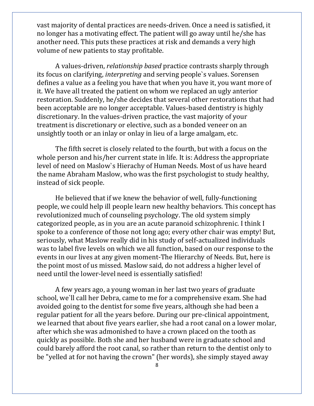vast majority of dental practices are needs-driven. Once a need is satisfied, it no longer has a motivating effect. The patient will go away until he/she has another need. This puts these practices at risk and demands a very high volume of new patients to stay profitable.

A values-driven, *relationship based* practice contrasts sharply through its focus on clarifying, *interpreting* and serving people`s values. Sorensen defines a value as a feeling you have that when you have it, you want more of it. We have all treated the patient on whom we replaced an ugly anterior restoration. Suddenly, he/she decides that several other restorations that had been acceptable are no longer acceptable. Values-based dentistry is highly discretionary. In the values-driven practice, the vast majority of your treatment is discretionary or elective, such as a bonded veneer on an unsightly tooth or an inlay or onlay in lieu of a large amalgam, etc.

The fifth secret is closely related to the fourth, but with a focus on the whole person and his/her current state in life. It is: Address the appropriate level of need on Maslow`s Hierachy of Human Needs. Most of us have heard the name Abraham Maslow, who was the first psychologist to study healthy, instead of sick people.

He believed that if we knew the behavior of well, fully-functioning people, we could help ill people learn new healthy behaviors. This concept has revolutionized much of counseling psychology. The old system simply categorized people, as in you are an acute paranoid schizophrenic. I think I spoke to a conference of those not long ago; every other chair was empty! But, seriously, what Maslow really did in his study of self-actualized individuals was to label five levels on which we all function, based on our response to the events in our lives at any given moment-The Hierarchy of Needs. But, here is the point most of us missed. Maslow said, do not address a higher level of need until the lower-level need is essentially satisfied!

A few years ago, a young woman in her last two years of graduate school, we`ll call her Debra, came to me for a comprehensive exam. She had avoided going to the dentist for some five years, although she had been a regular patient for all the years before. During our pre-clinical appointment, we learned that about five years earlier, she had a root canal on a lower molar, after which she was admonished to have a crown placed on the tooth as quickly as possible. Both she and her husband were in graduate school and could barely afford the root canal, so rather than return to the dentist only to be "yelled at for not having the crown" (her words), she simply stayed away